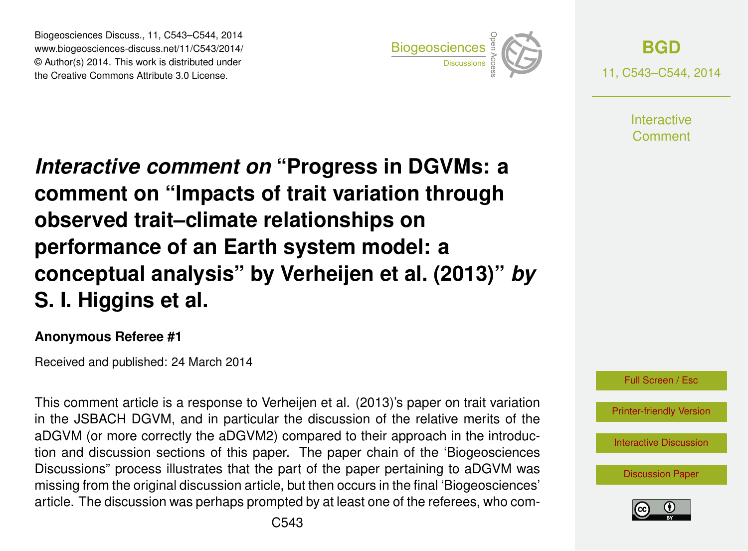Biogeosciences Discuss., 11, C543–C544, 2014 www.biogeosciences-discuss.net/11/C543/2014/ © Author(s) 2014. This work is distributed under Biogeosciences Discuss., 11, C543–C544, 2014<br>www.biogeosciences-discuss.net/11/C543/2014/<br>© Author(s) 2014. This work is distributed under<br>the Creative Commons Attribute 3.0 License.



**[BGD](http://www.biogeosciences-discuss.net)** 11, C543–C544, 2014

> **Interactive** Comment

*Interactive comment on* **"Progress in DGVMs: a comment on "Impacts of trait variation through observed trait–climate relationships on performance of an Earth system model: a conceptual analysis" by Verheijen et al. (2013)"** *by* **S. I. Higgins et al.**

## **Anonymous Referee #1**

Received and published: 24 March 2014

This comment article is a response to Verheijen et al. (2013)'s paper on trait variation in the JSBACH DGVM, and in particular the discussion of the relative merits of the aDGVM (or more correctly the aDGVM2) compared to their approach in the introduction and discussion sections of this paper. The paper chain of the 'Biogeosciences Discussions" process illustrates that the part of the paper pertaining to aDGVM was missing from the original discussion article, but then occurs in the final 'Biogeosciences' article. The discussion was perhaps prompted by at least one of the referees, who com-

[Printer-friendly Version](http://www.biogeosciences-discuss.net/11/C543/2014/bgd-11-C543-2014-print.pdf)

[Interactive Discussion](http://www.biogeosciences-discuss.net/11/4483/2014/bgd-11-4483-2014-discussion.html)

[Discussion Paper](http://www.biogeosciences-discuss.net/11/4483/2014/bgd-11-4483-2014.pdf)